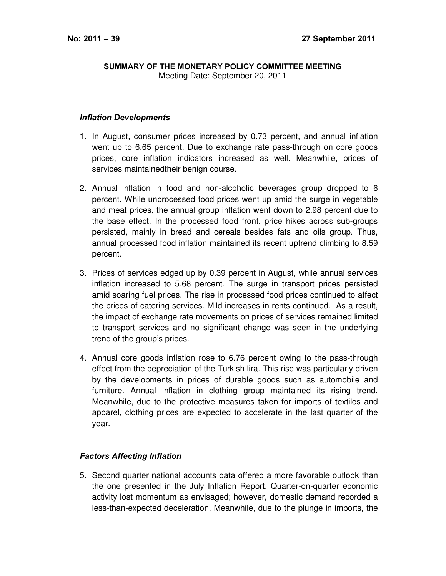## SUMMARY OF THE MONETARY POLICY COMMITTEE MEETING Meeting Date: September 20, 2011

## **Inflation Developments**

- 1. In August, consumer prices increased by 0.73 percent, and annual inflation went up to 6.65 percent. Due to exchange rate pass-through on core goods prices, core inflation indicators increased as well. Meanwhile, prices of services maintainedtheir benign course.
- 2. Annual inflation in food and non-alcoholic beverages group dropped to 6 percent. While unprocessed food prices went up amid the surge in vegetable and meat prices, the annual group inflation went down to 2.98 percent due to the base effect. In the processed food front, price hikes across sub-groups persisted, mainly in bread and cereals besides fats and oils group. Thus, annual processed food inflation maintained its recent uptrend climbing to 8.59 percent.
- 3. Prices of services edged up by 0.39 percent in August, while annual services inflation increased to 5.68 percent. The surge in transport prices persisted amid soaring fuel prices. The rise in processed food prices continued to affect the prices of catering services. Mild increases in rents continued. As a result, the impact of exchange rate movements on prices of services remained limited to transport services and no significant change was seen in the underlying trend of the group's prices.
- 4. Annual core goods inflation rose to 6.76 percent owing to the pass-through effect from the depreciation of the Turkish lira. This rise was particularly driven by the developments in prices of durable goods such as automobile and furniture. Annual inflation in clothing group maintained its rising trend. Meanwhile, due to the protective measures taken for imports of textiles and apparel, clothing prices are expected to accelerate in the last quarter of the year.

## **Factors Affecting Inflation**

5. Second quarter national accounts data offered a more favorable outlook than the one presented in the July Inflation Report. Quarter-on-quarter economic activity lost momentum as envisaged; however, domestic demand recorded a less-than-expected deceleration. Meanwhile, due to the plunge in imports, the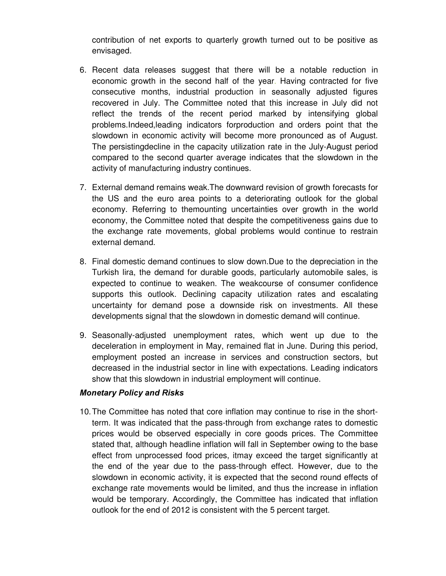contribution of net exports to quarterly growth turned out to be positive as envisaged.

- 6. Recent data releases suggest that there will be a notable reduction in economic growth in the second half of the year. Having contracted for five consecutive months, industrial production in seasonally adjusted figures recovered in July. The Committee noted that this increase in July did not reflect the trends of the recent period marked by intensifying global problems.Indeed,leading indicators forproduction and orders point that the slowdown in economic activity will become more pronounced as of August. The persistingdecline in the capacity utilization rate in the July-August period compared to the second quarter average indicates that the slowdown in the activity of manufacturing industry continues.
- 7. External demand remains weak.The downward revision of growth forecasts for the US and the euro area points to a deteriorating outlook for the global economy. Referring to themounting uncertainties over growth in the world economy, the Committee noted that despite the competitiveness gains due to the exchange rate movements, global problems would continue to restrain external demand.
- 8. Final domestic demand continues to slow down.Due to the depreciation in the Turkish lira, the demand for durable goods, particularly automobile sales, is expected to continue to weaken. The weakcourse of consumer confidence supports this outlook. Declining capacity utilization rates and escalating uncertainty for demand pose a downside risk on investments. All these developments signal that the slowdown in domestic demand will continue.
- 9. Seasonally-adjusted unemployment rates, which went up due to the deceleration in employment in May, remained flat in June. During this period, employment posted an increase in services and construction sectors, but decreased in the industrial sector in line with expectations. Leading indicators show that this slowdown in industrial employment will continue.

## **Monetary Policy and Risks**

10.The Committee has noted that core inflation may continue to rise in the shortterm. It was indicated that the pass-through from exchange rates to domestic prices would be observed especially in core goods prices. The Committee stated that, although headline inflation will fall in September owing to the base effect from unprocessed food prices, itmay exceed the target significantly at the end of the year due to the pass-through effect. However, due to the slowdown in economic activity, it is expected that the second round effects of exchange rate movements would be limited, and thus the increase in inflation would be temporary. Accordingly, the Committee has indicated that inflation outlook for the end of 2012 is consistent with the 5 percent target.